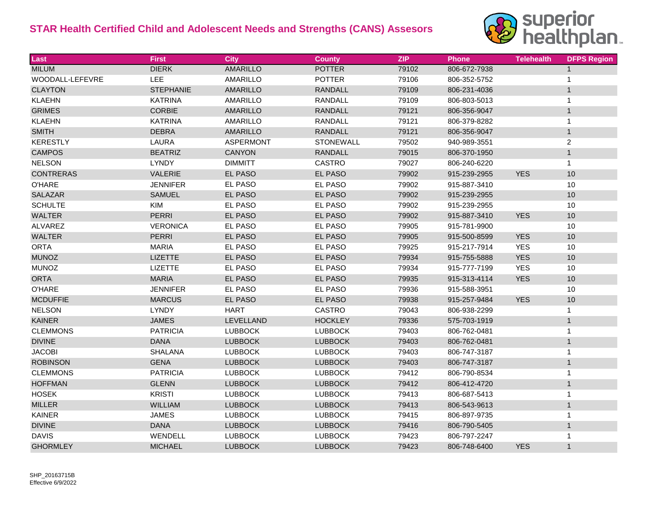## **STAR Health Certified Child and Adolescent Needs and Strengths (CANS) Assesors**



| Last                   | <b>First</b>     | <b>City</b>      | <b>County</b>    | <b>ZIP</b> | <b>Phone</b> | <b>Telehealth</b> | <b>DFPS Region</b> |
|------------------------|------------------|------------------|------------------|------------|--------------|-------------------|--------------------|
| <b>MILUM</b>           | <b>DIERK</b>     | <b>AMARILLO</b>  | <b>POTTER</b>    | 79102      | 806-672-7938 |                   | $\mathbf{1}$       |
| <b>WOODALL-LEFEVRE</b> | <b>LEE</b>       | AMARILLO         | <b>POTTER</b>    | 79106      | 806-352-5752 |                   | $\mathbf 1$        |
| <b>CLAYTON</b>         | <b>STEPHANIE</b> | <b>AMARILLO</b>  | <b>RANDALL</b>   | 79109      | 806-231-4036 |                   | $\mathbf{1}$       |
| <b>KLAEHN</b>          | <b>KATRINA</b>   | AMARILLO         | <b>RANDALL</b>   | 79109      | 806-803-5013 |                   | $\mathbf{1}$       |
| <b>GRIMES</b>          | <b>CORBIE</b>    | <b>AMARILLO</b>  | <b>RANDALL</b>   | 79121      | 806-356-9047 |                   | $\mathbf{1}$       |
| <b>KLAEHN</b>          | <b>KATRINA</b>   | AMARILLO         | <b>RANDALL</b>   | 79121      | 806-379-8282 |                   | $\mathbf{1}$       |
| <b>SMITH</b>           | <b>DEBRA</b>     | <b>AMARILLO</b>  | <b>RANDALL</b>   | 79121      | 806-356-9047 |                   | $\mathbf{1}$       |
| <b>KERESTLY</b>        | LAURA            | <b>ASPERMONT</b> | <b>STONEWALL</b> | 79502      | 940-989-3551 |                   | 2                  |
| <b>CAMPOS</b>          | <b>BEATRIZ</b>   | CANYON           | <b>RANDALL</b>   | 79015      | 806-370-1950 |                   | $\mathbf{1}$       |
| <b>NELSON</b>          | LYNDY            | <b>DIMMITT</b>   | <b>CASTRO</b>    | 79027      | 806-240-6220 |                   | $\mathbf{1}$       |
| <b>CONTRERAS</b>       | VALERIE          | <b>EL PASO</b>   | EL PASO          | 79902      | 915-239-2955 | <b>YES</b>        | 10                 |
| <b>O'HARE</b>          | <b>JENNIFER</b>  | EL PASO          | EL PASO          | 79902      | 915-887-3410 |                   | 10                 |
| <b>SALAZAR</b>         | <b>SAMUEL</b>    | <b>EL PASO</b>   | EL PASO          | 79902      | 915-239-2955 |                   | 10                 |
| <b>SCHULTE</b>         | <b>KIM</b>       | EL PASO          | EL PASO          | 79902      | 915-239-2955 |                   | 10                 |
| <b>WALTER</b>          | <b>PERRI</b>     | <b>EL PASO</b>   | EL PASO          | 79902      | 915-887-3410 | <b>YES</b>        | 10                 |
| <b>ALVAREZ</b>         | <b>VERONICA</b>  | <b>EL PASO</b>   | EL PASO          | 79905      | 915-781-9900 |                   | 10                 |
| <b>WALTER</b>          | <b>PERRI</b>     | <b>EL PASO</b>   | EL PASO          | 79905      | 915-500-8599 | <b>YES</b>        | 10                 |
| <b>ORTA</b>            | <b>MARIA</b>     | EL PASO          | EL PASO          | 79925      | 915-217-7914 | <b>YES</b>        | 10                 |
| <b>MUNOZ</b>           | <b>LIZETTE</b>   | <b>EL PASO</b>   | EL PASO          | 79934      | 915-755-5888 | <b>YES</b>        | 10                 |
| <b>MUNOZ</b>           | <b>LIZETTE</b>   | EL PASO          | EL PASO          | 79934      | 915-777-7199 | <b>YES</b>        | 10                 |
| <b>ORTA</b>            | <b>MARIA</b>     | <b>EL PASO</b>   | <b>EL PASO</b>   | 79935      | 915-313-4114 | <b>YES</b>        | 10                 |
| <b>O'HARE</b>          | <b>JENNIFER</b>  | EL PASO          | EL PASO          | 79936      | 915-588-3951 |                   | 10                 |
| <b>MCDUFFIE</b>        | <b>MARCUS</b>    | EL PASO          | <b>EL PASO</b>   | 79938      | 915-257-9484 | <b>YES</b>        | 10                 |
| <b>NELSON</b>          | LYNDY            | <b>HART</b>      | <b>CASTRO</b>    | 79043      | 806-938-2299 |                   | $\mathbf{1}$       |
| <b>KAINER</b>          | <b>JAMES</b>     | LEVELLAND        | <b>HOCKLEY</b>   | 79336      | 575-703-1919 |                   | $\mathbf{1}$       |
| <b>CLEMMONS</b>        | <b>PATRICIA</b>  | <b>LUBBOCK</b>   | <b>LUBBOCK</b>   | 79403      | 806-762-0481 |                   | $\mathbf{1}$       |
| <b>DIVINE</b>          | <b>DANA</b>      | <b>LUBBOCK</b>   | <b>LUBBOCK</b>   | 79403      | 806-762-0481 |                   | $\mathbf{1}$       |
| <b>JACOBI</b>          | <b>SHALANA</b>   | <b>LUBBOCK</b>   | <b>LUBBOCK</b>   | 79403      | 806-747-3187 |                   | $\mathbf{1}$       |
| <b>ROBINSON</b>        | <b>GENA</b>      | <b>LUBBOCK</b>   | <b>LUBBOCK</b>   | 79403      | 806-747-3187 |                   | $\mathbf{1}$       |
| <b>CLEMMONS</b>        | <b>PATRICIA</b>  | <b>LUBBOCK</b>   | <b>LUBBOCK</b>   | 79412      | 806-790-8534 |                   | $\mathbf{1}$       |
| <b>HOFFMAN</b>         | <b>GLENN</b>     | <b>LUBBOCK</b>   | <b>LUBBOCK</b>   | 79412      | 806-412-4720 |                   | $\mathbf{1}$       |
| <b>HOSEK</b>           | <b>KRISTI</b>    | <b>LUBBOCK</b>   | <b>LUBBOCK</b>   | 79413      | 806-687-5413 |                   | $\mathbf{1}$       |
| <b>MILLER</b>          | <b>WILLIAM</b>   | <b>LUBBOCK</b>   | <b>LUBBOCK</b>   | 79413      | 806-543-9613 |                   | $\mathbf{1}$       |
| <b>KAINER</b>          | <b>JAMES</b>     | <b>LUBBOCK</b>   | <b>LUBBOCK</b>   | 79415      | 806-897-9735 |                   | $\mathbf{1}$       |
| <b>DIVINE</b>          | <b>DANA</b>      | <b>LUBBOCK</b>   | <b>LUBBOCK</b>   | 79416      | 806-790-5405 |                   | $\mathbf{1}$       |
| <b>DAVIS</b>           | WENDELL          | <b>LUBBOCK</b>   | <b>LUBBOCK</b>   | 79423      | 806-797-2247 |                   | $\mathbf{1}$       |
| <b>GHORMLEY</b>        | <b>MICHAEL</b>   | <b>LUBBOCK</b>   | <b>LUBBOCK</b>   | 79423      | 806-748-6400 | <b>YES</b>        | $\mathbf{1}$       |